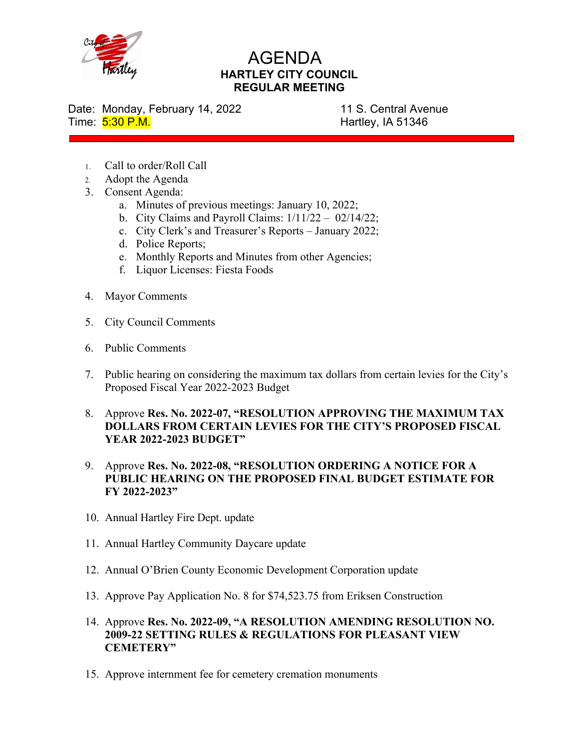

## AGENDA **HARTLEY CITY COUNCIL REGULAR MEETING**

Date: Monday, February 14, 2022 11 S. Central Avenue Time: 5:30 P.M. **Hartley, IA 51346** 

- 1. Call to order/Roll Call
- 2. Adopt the Agenda
- 3. Consent Agenda:
	- a. Minutes of previous meetings: January 10, 2022;
	- b. City Claims and Payroll Claims:  $1/11/22 02/14/22$ ;
	- c. City Clerk's and Treasurer's Reports January 2022;
	- d. Police Reports;
	- e. Monthly Reports and Minutes from other Agencies;
	- f. Liquor Licenses: Fiesta Foods
- 4. Mayor Comments
- 5. City Council Comments
- 6. Public Comments
- 7. Public hearing on considering the maximum tax dollars from certain levies for the City's Proposed Fiscal Year 2022-2023 Budget
- 8. Approve **Res. No. 2022-07, "RESOLUTION APPROVING THE MAXIMUM TAX DOLLARS FROM CERTAIN LEVIES FOR THE CITY'S PROPOSED FISCAL YEAR 2022-2023 BUDGET"**
- 9. Approve **Res. No. 2022-08, "RESOLUTION ORDERING A NOTICE FOR A PUBLIC HEARING ON THE PROPOSED FINAL BUDGET ESTIMATE FOR FY 2022-2023"**
- 10. Annual Hartley Fire Dept. update
- 11. Annual Hartley Community Daycare update
- 12. Annual O'Brien County Economic Development Corporation update
- 13. Approve Pay Application No. 8 for \$74,523.75 from Eriksen Construction
- 14. Approve **Res. No. 2022-09, "A RESOLUTION AMENDING RESOLUTION NO. 2009-22 SETTING RULES & REGULATIONS FOR PLEASANT VIEW CEMETERY"**
- 15. Approve internment fee for cemetery cremation monuments